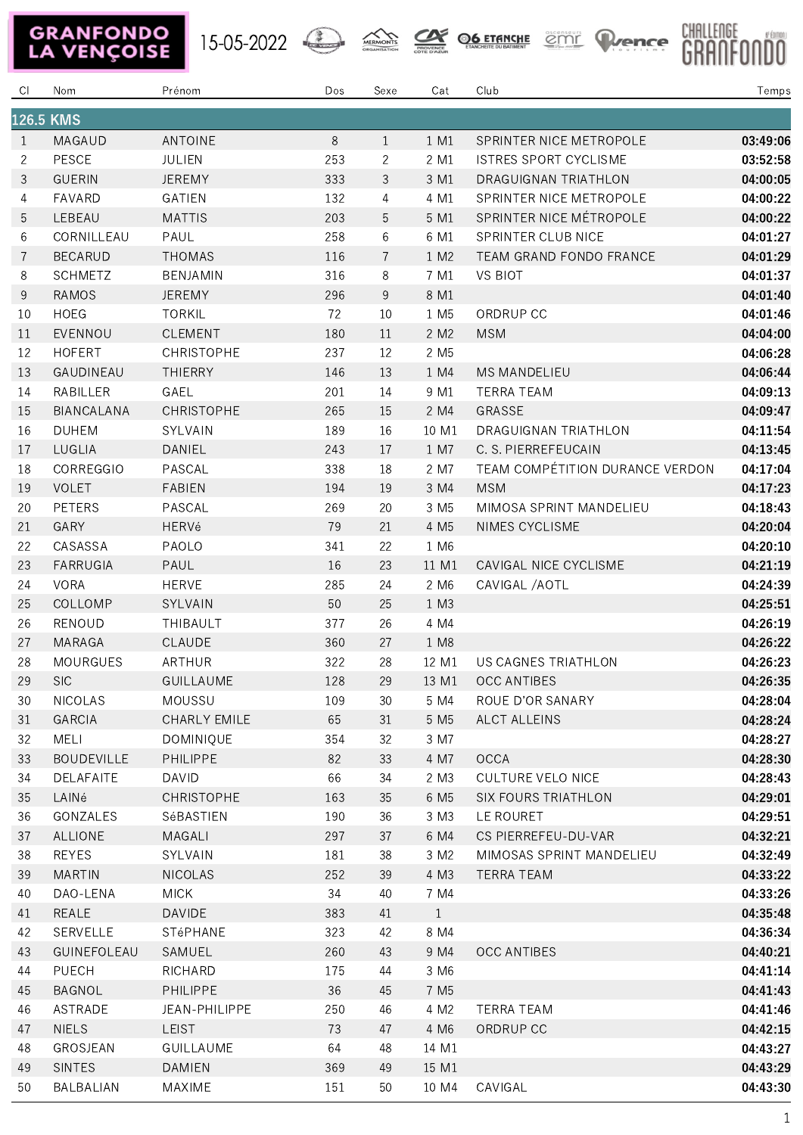## **GRANFONDO**<br>LA VENÇOISE

15-05-2022 A MERICANTS CONTROLLED COMPTE PLANCE





| CI.            | Nom               | Prénom            | Dos | Sexe           | Cat              | Club                            | Temps    |  |
|----------------|-------------------|-------------------|-----|----------------|------------------|---------------------------------|----------|--|
| 126.5 KMS      |                   |                   |     |                |                  |                                 |          |  |
| 1              | MAGAUD            | ANTOINE           | 8   | $\mathbf{1}$   | 1 M1             | SPRINTER NICE METROPOLE         | 03:49:06 |  |
| $\overline{2}$ | PESCE             | <b>JULIEN</b>     | 253 | 2              | 2 M1             | <b>ISTRES SPORT CYCLISME</b>    | 03:52:58 |  |
| 3              | <b>GUERIN</b>     | <b>JEREMY</b>     | 333 | 3              | 3 M1             | DRAGUIGNAN TRIATHLON            | 04:00:05 |  |
| 4              | FAVARD            | <b>GATIEN</b>     | 132 | 4              | 4 M1             | SPRINTER NICE METROPOLE         | 04:00:22 |  |
| 5              | LEBEAU            | <b>MATTIS</b>     | 203 | 5              | 5 M1             | SPRINTER NICE MÉTROPOLE         | 04:00:22 |  |
| 6              | CORNILLEAU        | PAUL              | 258 | 6              | 6 M1             | SPRINTER CLUB NICE              | 04:01:27 |  |
| 7              | <b>BECARUD</b>    | <b>THOMAS</b>     | 116 | $\overline{7}$ | 1 M2             | TEAM GRAND FONDO FRANCE         | 04:01:29 |  |
| 8              | <b>SCHMETZ</b>    | BENJAMIN          | 316 | 8              | 7 M1             | <b>VS BIOT</b>                  | 04:01:37 |  |
| $\,9$          | RAMOS             | <b>JEREMY</b>     | 296 | 9              | 8 M1             |                                 | 04:01:40 |  |
| 10             | <b>HOEG</b>       | <b>TORKIL</b>     | 72  | 10             | 1 M <sub>5</sub> | ORDRUP CC                       | 04:01:46 |  |
| 11             | EVENNOU           | <b>CLEMENT</b>    | 180 | 11             | 2 M2             | <b>MSM</b>                      | 04:04:00 |  |
| 12             | <b>HOFERT</b>     | <b>CHRISTOPHE</b> | 237 | 12             | 2 M <sub>5</sub> |                                 | 04:06:28 |  |
| 13             | GAUDINEAU         | <b>THIERRY</b>    | 146 | 13             | 1 M4             | <b>MS MANDELIEU</b>             | 04:06:44 |  |
| 14             | RABILLER          | GAEL              | 201 | 14             | 9 M1             | <b>TERRA TEAM</b>               | 04:09:13 |  |
| 15             | BIANCALANA        | CHRISTOPHE        | 265 | 15             | 2 M4             | GRASSE                          | 04:09:47 |  |
| 16             | <b>DUHEM</b>      | SYLVAIN           | 189 | 16             | 10 M1            | <b>DRAGUIGNAN TRIATHLON</b>     | 04:11:54 |  |
| 17             | LUGLIA            | DANIEL            | 243 | 17             | 1 M7             | C. S. PIERREFEUCAIN             | 04:13:45 |  |
| 18             | CORREGGIO         | PASCAL            | 338 | 18             | 2 M7             | TEAM COMPÉTITION DURANCE VERDON | 04:17:04 |  |
| 19             | <b>VOLET</b>      | <b>FABIEN</b>     | 194 | 19             | 3 M4             | <b>MSM</b>                      | 04:17:23 |  |
| 20             | <b>PETERS</b>     | PASCAL            | 269 | 20             | 3 M <sub>5</sub> | MIMOSA SPRINT MANDELIEU         | 04:18:43 |  |
| 21             | GARY              | <b>HERVé</b>      | 79  | 21             | 4 M <sub>5</sub> | NIMES CYCLISME                  | 04:20:04 |  |
| 22             | CASASSA           | PAOLO             | 341 | 22             | 1 M6             |                                 | 04:20:10 |  |
| 23             | <b>FARRUGIA</b>   | PAUL              | 16  | 23             | 11 M1            | CAVIGAL NICE CYCLISME           | 04:21:19 |  |
| 24             | <b>VORA</b>       | <b>HERVE</b>      | 285 | 24             | 2 M <sub>6</sub> | CAVIGAL / AOTL                  | 04:24:39 |  |
| 25             | COLLOMP           | SYLVAIN           | 50  | 25             | 1 M3             |                                 | 04:25:51 |  |
| 26             | <b>RENOUD</b>     | THIBAULT          | 377 | 26             | 4 M4             |                                 | 04:26:19 |  |
| 27             | <b>MARAGA</b>     | CLAUDE            | 360 | 27             | 1 M8             |                                 | 04:26:22 |  |
| 28             | MOURGUES          | ARTHUR            | 322 | 28             | 12 M1            | US CAGNES TRIATHLON             | 04:26:23 |  |
| 29             | <b>SIC</b>        | <b>GUILLAUME</b>  | 128 | 29             | 13 M1            | <b>OCC ANTIBES</b>              | 04:26:35 |  |
| 30             | <b>NICOLAS</b>    | MOUSSU            | 109 | $30\,$         | 5 M4             | ROUE D'OR SANARY                | 04:28:04 |  |
| 31             | GARCIA            | CHARLY EMILE      | 65  | 31             | 5 M <sub>5</sub> | ALCT ALLEINS                    | 04:28:24 |  |
| 32             | MELI              | <b>DOMINIQUE</b>  | 354 | 32             | 3 M7             |                                 | 04:28:27 |  |
| 33             | <b>BOUDEVILLE</b> | PHILIPPE          | 82  | 33             | 4 M7             | OCCA                            | 04:28:30 |  |
| 34             | DELAFAITE         | <b>DAVID</b>      | 66  | 34             | 2 M3             | <b>CULTURE VELO NICE</b>        | 04:28:43 |  |
| 35             | LAINé             | CHRISTOPHE        | 163 | 35             | 6 M <sub>5</sub> | <b>SIX FOURS TRIATHLON</b>      | 04:29:01 |  |
| 36             | GONZALES          | SéBASTIEN         | 190 | 36             | 3 M3             | LE ROURET                       | 04:29:51 |  |
| 37             | ALLIONE           | MAGALI            | 297 | 37             | 6 M4             | CS PIERREFEU-DU-VAR             | 04:32:21 |  |
| 38             | <b>REYES</b>      | SYLVAIN           | 181 | 38             | 3 M2             | MIMOSAS SPRINT MANDELIEU        | 04:32:49 |  |
| 39             | <b>MARTIN</b>     | <b>NICOLAS</b>    | 252 | 39             | 4 M3             | TERRA TEAM                      | 04:33:22 |  |
| 40             | DAO-LENA          | <b>MICK</b>       | 34  | 40             | 7 M4             |                                 | 04:33:26 |  |
| 41             | REALE             | DAVIDE            | 383 | 41             | $\mathbf{1}$     |                                 | 04:35:48 |  |
| 42             | SERVELLE          | STéPHANE          | 323 | 42             | 8 M4             |                                 | 04:36:34 |  |
| 43             | GUINEFOLEAU       | SAMUEL            | 260 | 43             | 9 M4             | <b>OCC ANTIBES</b>              | 04:40:21 |  |
| 44             | PUECH             | RICHARD           | 175 | 44             | 3 M6             |                                 | 04:41:14 |  |
| 45             | <b>BAGNOL</b>     | PHILIPPE          | 36  | 45             | 7 M <sub>5</sub> |                                 | 04:41:43 |  |
| 46             | ASTRADE           | JEAN-PHILIPPE     | 250 | 46             | 4 M2             | <b>TERRA TEAM</b>               | 04:41:46 |  |
| 47             | <b>NIELS</b>      | LEIST             | 73  | 47             | 4 M6             | ORDRUP CC                       | 04:42:15 |  |
| 48             | GROSJEAN          | GUILLAUME         | 64  | 48             | 14 M1            |                                 | 04:43:27 |  |
| 49             | <b>SINTES</b>     | DAMIEN            | 369 | 49             | 15 M1            |                                 | 04:43:29 |  |
| 50             | BALBALIAN         | MAXIME            | 151 | 50             | 10 M4            | CAVIGAL                         | 04:43:30 |  |
|                |                   |                   |     |                |                  |                                 |          |  |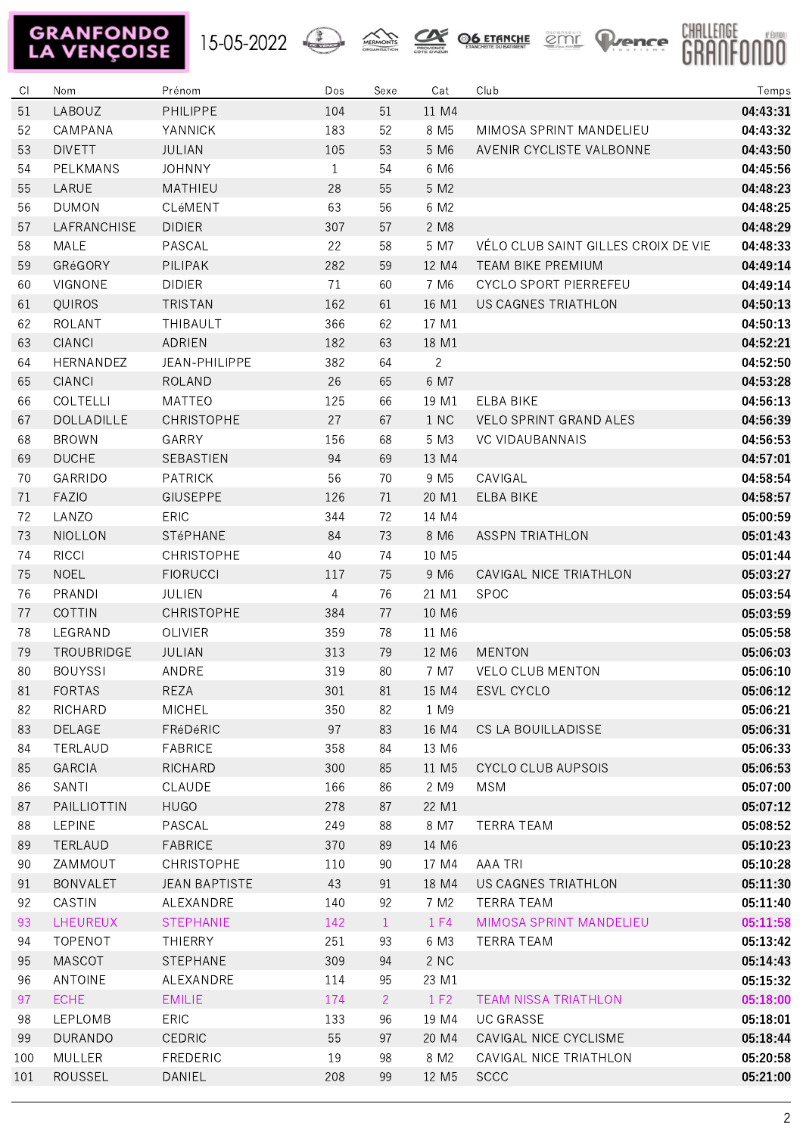## **GRANFONDO**<br>LA VENÇOISE









| CI. | Nom             | Prénom               | Dos          | Sexe         | Cat               | Club                                | Temps    |
|-----|-----------------|----------------------|--------------|--------------|-------------------|-------------------------------------|----------|
| 51  | LABOUZ          | PHILIPPE             | 104          | 51           | 11 M4             |                                     | 04:43:31 |
| 52  | CAMPANA         | YANNICK              | 183          | 52           | 8 M <sub>5</sub>  | MIMOSA SPRINT MANDELIEU             | 04:43:32 |
| 53  | <b>DIVETT</b>   | JULIAN               | 105          | 53           | 5 M <sub>6</sub>  | AVENIR CYCLISTE VALBONNE            | 04:43:50 |
| 54  | PELKMANS        | <b>JOHNNY</b>        | $\mathbf{1}$ | 54           | 6 M6              |                                     | 04:45:56 |
| 55  | LARUE           | MATHIEU              | 28           | 55           | 5 M2              |                                     | 04:48:23 |
| 56  | <b>DUMON</b>    | CLéMENT              | 63           | 56           | 6 M2              |                                     | 04:48:25 |
| 57  | LAFRANCHISE     | <b>DIDIER</b>        | 307          | 57           | 2 M8              |                                     | 04:48:29 |
| 58  | MALE            | PASCAL               | 22           | 58           | 5 M7              | VÉLO CLUB SAINT GILLES CROIX DE VIE | 04:48:33 |
| 59  | GRéGORY         | PILIPAK              | 282          | 59           | 12 M4             | <b>TEAM BIKE PREMIUM</b>            | 04:49:14 |
| 60  | VIGNONE         | <b>DIDIER</b>        | 71           | 60           | 7 M <sub>6</sub>  | CYCLO SPORT PIERREFEU               | 04:49:14 |
| 61  | QUIROS          | <b>TRISTAN</b>       | 162          | 61           | 16 M1             | US CAGNES TRIATHLON                 | 04:50:13 |
| 62  | ROLANT          | THIBAULT             | 366          | 62           | 17 M1             |                                     | 04:50:13 |
| 63  | <b>CIANCI</b>   | ADRIEN               | 182          | 63           | 18 M1             |                                     | 04:52:21 |
| 64  | HERNANDEZ       | JEAN-PHILIPPE        | 382          | 64           | $\overline{2}$    |                                     | 04:52:50 |
| 65  | <b>CIANCI</b>   | <b>ROLAND</b>        | 26           | 65           | 6 M7              |                                     | 04:53:28 |
| 66  | COLTELLI        | <b>MATTEO</b>        | 125          | 66           | 19 M1             | <b>ELBA BIKE</b>                    | 04:56:13 |
| 67  | DOLLADILLE      | <b>CHRISTOPHE</b>    | 27           | 67           | 1 NC              | VELO SPRINT GRAND ALES              | 04:56:39 |
| 68  | <b>BROWN</b>    | GARRY                | 156          | 68           | 5 M3              | <b>VC VIDAUBANNAIS</b>              | 04:56:53 |
| 69  | <b>DUCHE</b>    | SEBASTIEN            | 94           | 69           | 13 M4             |                                     | 04:57:01 |
| 70  | GARRIDO         | <b>PATRICK</b>       | 56           | 70           | 9 M <sub>5</sub>  | CAVIGAL                             | 04:58:54 |
| 71  | <b>FAZIO</b>    | <b>GIUSEPPE</b>      | 126          | 71           | 20 M1             | ELBA BIKE                           | 04:58:57 |
| 72  | LANZO           | <b>ERIC</b>          | 344          | 72           | 14 M4             |                                     | 05:00:59 |
| 73  | <b>NIOLLON</b>  | STéPHANE             | 84           | 73           | 8 M6              | <b>ASSPN TRIATHLON</b>              | 05:01:43 |
| 74  | <b>RICCI</b>    | CHRISTOPHE           | 40           | 74           | 10 M <sub>5</sub> |                                     | 05:01:44 |
| 75  | <b>NOEL</b>     | <b>FIORUCCI</b>      | 117          | 75           | 9 M <sub>6</sub>  | CAVIGAL NICE TRIATHLON              | 05:03:27 |
| 76  | PRANDI          | <b>JULIEN</b>        | 4            | 76           | 21 M1             | <b>SPOC</b>                         | 05:03:54 |
| 77  | <b>COTTIN</b>   | <b>CHRISTOPHE</b>    | 384          | 77           | 10 M6             |                                     | 05:03:59 |
| 78  | LEGRAND         | OLIVIER              | 359          | 78           | 11 M6             |                                     | 05:05:58 |
| 79  | TROUBRIDGE      | JULIAN               | 313          | 79           | 12 M6             | <b>MENTON</b>                       | 05:06:03 |
| 80  | <b>BOUYSSI</b>  | ANDRE                | 319          | 80           | 7 M7              | <b>VELO CLUB MENTON</b>             | 05:06:10 |
| 81  | <b>FORTAS</b>   | REZA                 | 301          | 81           |                   | 15 M4 ESVL CYCLO                    | 05:06:12 |
| 82  | RICHARD         | MICHEL               | 350          | 82           | 1 M9              |                                     | 05:06:21 |
| 83  | DELAGE          | FRéDéRIC             | 97           | 83           | 16 M4             | CS LA BOUILLADISSE                  | 05:06:31 |
| 84  | TERLAUD         | <b>FABRICE</b>       | 358          | 84           | 13 M6             |                                     | 05:06:33 |
| 85  | GARCIA          | RICHARD              | 300          | 85           | 11 M5             | <b>CYCLO CLUB AUPSOIS</b>           | 05:06:53 |
| 86  | SANTI           | CLAUDE               | 166          | 86           | 2 M9              | MSM                                 | 05:07:00 |
| 87  | PAILLIOTTIN     | <b>HUGO</b>          | 278          | 87           | 22 M1             |                                     | 05:07:12 |
| 88  | LEPINE          | PASCAL               | 249          | 88           | 8 M7              | <b>TERRA TEAM</b>                   | 05:08:52 |
| 89  | TERLAUD         | <b>FABRICE</b>       | 370          | 89           | 14 M6             |                                     | 05:10:23 |
| 90  | ZAMMOUT         | CHRISTOPHE           | 110          | 90           | 17 M4             | <b>AAA TRI</b>                      | 05:10:28 |
| 91  | <b>BONVALET</b> | <b>JEAN BAPTISTE</b> | 43           | 91           | 18 M4             | US CAGNES TRIATHLON                 | 05:11:30 |
| 92  | CASTIN          | ALEXANDRE            | 140          | 92           | 7 M2              | TERRA TEAM                          | 05:11:40 |
| 93  | LHEUREUX        | <b>STEPHANIE</b>     | 142          | $\mathbf{1}$ | 1 F4              | MIMOSA SPRINT MANDELIEU             | 05:11:58 |
| 94  | TOPENOT         | <b>THIERRY</b>       | 251          | 93           | 6 M3              | TERRA TEAM                          | 05:13:42 |
| 95  | <b>MASCOT</b>   | STEPHANE             | 309          | 94           | 2 NC              |                                     | 05:14:43 |
| 96  | ANTOINE         | ALEXANDRE            | 114          | 95           | 23 M1             |                                     | 05:15:32 |
| 97  | <b>ECHE</b>     | <b>EMILIE</b>        | 174          | $2^{\circ}$  | 1 F2              | TEAM NISSA TRIATHLON                | 05:18:00 |
| 98  | LEPLOMB         | <b>ERIC</b>          | 133          | 96           | 19 M4             | <b>UC GRASSE</b>                    | 05:18:01 |
| 99  | <b>DURANDO</b>  | CEDRIC               | 55           | 97           | 20 M4             | CAVIGAL NICE CYCLISME               | 05:18:44 |
| 100 | MULLER          | <b>FREDERIC</b>      | 19           | 98           | 8 M2              | CAVIGAL NICE TRIATHLON              | 05:20:58 |
| 101 | ROUSSEL         | DANIEL               | 208          | 99           | 12 M <sub>5</sub> | <b>SCCC</b>                         | 05:21:00 |
|     |                 |                      |              |              |                   |                                     |          |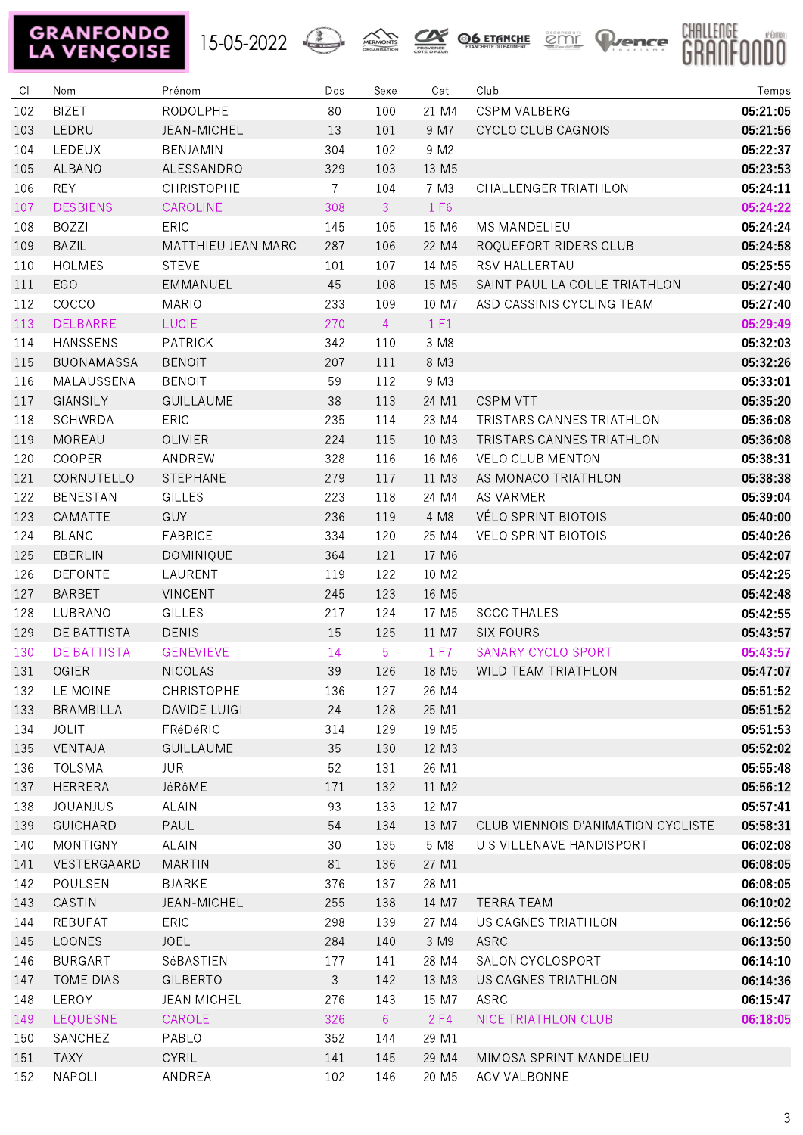## **GRANFONDO**<br>LA VENÇOISE









| C1  | Nom               | Prénom              | Dos            | Sexe           | Cat               | Club                               | Temps    |
|-----|-------------------|---------------------|----------------|----------------|-------------------|------------------------------------|----------|
| 102 | <b>BIZET</b>      | RODOLPHE            | 80             | 100            | 21 M4             | <b>CSPM VALBERG</b>                | 05:21:05 |
| 103 | LEDRU             | JEAN-MICHEL         | 13             | 101            | 9 M7              | CYCLO CLUB CAGNOIS                 | 05:21:56 |
| 104 | LEDEUX            | BENJAMIN            | 304            | 102            | 9 M2              |                                    | 05:22:37 |
| 105 | ALBANO            | ALESSANDRO          | 329            | 103            | 13 M <sub>5</sub> |                                    | 05:23:53 |
| 106 | <b>REY</b>        | <b>CHRISTOPHE</b>   | $\overline{7}$ | 104            | 7 M3              | CHALLENGER TRIATHLON               | 05:24:11 |
| 107 | <b>DESBIENS</b>   | CAROLINE            | 308            | $\mathbf{3}$   | 1 F6              |                                    | 05:24:22 |
| 108 | <b>BOZZI</b>      | ERIC                | 145            | 105            | 15 M6             | <b>MS MANDELIEU</b>                | 05:24:24 |
| 109 | <b>BAZIL</b>      | MATTHIEU JEAN MARC  | 287            | 106            | 22 M4             | ROQUEFORT RIDERS CLUB              | 05:24:58 |
| 110 | <b>HOLMES</b>     | <b>STEVE</b>        | 101            | 107            | 14 M <sub>5</sub> | RSV HALLERTAU                      | 05:25:55 |
| 111 | EGO               | EMMANUEL            | 45             | 108            | 15 M <sub>5</sub> | SAINT PAUL LA COLLE TRIATHLON      | 05:27:40 |
| 112 | COCCO             | <b>MARIO</b>        | 233            | 109            | 10 M7             | ASD CASSINIS CYCLING TEAM          | 05:27:40 |
| 113 | <b>DELBARRE</b>   | LUCIE               | 270            | $\overline{4}$ | 1 F1              |                                    | 05:29:49 |
| 114 | <b>HANSSENS</b>   | <b>PATRICK</b>      | 342            | 110            | 3 M8              |                                    | 05:32:03 |
| 115 | <b>BUONAMASSA</b> | <b>BENOîT</b>       | 207            | 111            | 8 M3              |                                    | 05:32:26 |
| 116 | MALAUSSENA        | <b>BENOIT</b>       | 59             | 112            | 9 M3              |                                    | 05:33:01 |
| 117 | GIANSILY          | GUILLAUME           | 38             | 113            | 24 M1             | <b>CSPM VTT</b>                    | 05:35:20 |
| 118 | <b>SCHWRDA</b>    | ERIC                | 235            | 114            | 23 M4             | TRISTARS CANNES TRIATHLON          | 05:36:08 |
| 119 | <b>MOREAU</b>     | <b>OLIVIER</b>      | 224            | 115            | 10 M3             | TRISTARS CANNES TRIATHLON          | 05:36:08 |
| 120 | COOPER            | ANDREW              | 328            | 116            | 16 M6             | <b>VELO CLUB MENTON</b>            | 05:38:31 |
| 121 | CORNUTELLO        | <b>STEPHANE</b>     | 279            | 117            | 11 M3             | AS MONACO TRIATHLON                | 05:38:38 |
| 122 | <b>BENESTAN</b>   | <b>GILLES</b>       | 223            | 118            | 24 M4             | AS VARMER                          | 05:39:04 |
| 123 | CAMATTE           | GUY                 | 236            | 119            | 4 M8              | VÉLO SPRINT BIOTOIS                | 05:40:00 |
| 124 | <b>BLANC</b>      | <b>FABRICE</b>      | 334            | 120            | 25 M4             | <b>VELO SPRINT BIOTOIS</b>         | 05:40:26 |
| 125 | EBERLIN           | DOMINIQUE           | 364            | 121            | 17 M6             |                                    | 05:42:07 |
| 126 | <b>DEFONTE</b>    | LAURENT             | 119            | 122            | 10 M2             |                                    | 05:42:25 |
| 127 | <b>BARBET</b>     | <b>VINCENT</b>      | 245            | 123            | 16 M <sub>5</sub> |                                    | 05:42:48 |
| 128 | LUBRANO           | GILLES              | 217            | 124            | 17 M <sub>5</sub> | <b>SCCC THALES</b>                 | 05:42:55 |
| 129 | DE BATTISTA       | <b>DENIS</b>        | 15             | 125            | 11 M7             | <b>SIX FOURS</b>                   | 05:43:57 |
| 130 | DE BATTISTA       | <b>GENEVIEVE</b>    | 14             | 5              | 1 F7              | SANARY CYCLO SPORT                 | 05:43:57 |
| 131 | <b>OGIER</b>      | <b>NICOLAS</b>      | 39             | 126            | 18 M <sub>5</sub> | WILD TEAM TRIATHLON                | 05:47:07 |
| 132 | LE MOINE          | CHRISTOPHE          | 136            | 127            | 26 M4             |                                    | 05:51:52 |
| 133 | <b>BRAMBILLA</b>  | <b>DAVIDE LUIGI</b> | 24             | 128            | 25 M1             |                                    | 05:51:52 |
| 134 | <b>JOLIT</b>      | FRéDéRIC            | 314            | 129            | 19 M <sub>5</sub> |                                    | 05:51:53 |
| 135 | VENTAJA           | <b>GUILLAUME</b>    | 35             | 130            | 12 M3             |                                    | 05:52:02 |
| 136 | <b>TOLSMA</b>     | <b>JUR</b>          | 52             | 131            | 26 M1             |                                    | 05:55:48 |
| 137 | <b>HERRERA</b>    | JéRôME              | 171            | 132            | 11 M2             |                                    | 05:56:12 |
| 138 | <b>JOUANJUS</b>   | <b>ALAIN</b>        | 93             | 133            | 12 M7             |                                    | 05:57:41 |
| 139 | <b>GUICHARD</b>   | PAUL                | 54             | 134            | 13 M7             | CLUB VIENNOIS D'ANIMATION CYCLISTE | 05:58:31 |
| 140 | MONTIGNY          | <b>ALAIN</b>        | 30             | 135            | 5 M8              | U S VILLENAVE HANDISPORT           | 06:02:08 |
| 141 | VESTERGAARD       | <b>MARTIN</b>       | 81             | 136            | 27 M1             |                                    | 06:08:05 |
| 142 | POULSEN           | <b>BJARKE</b>       | 376            | 137            | 28 M1             |                                    | 06:08:05 |
| 143 | CASTIN            | JEAN-MICHEL         | 255            | 138            | 14 M7             | <b>TERRA TEAM</b>                  | 06:10:02 |
| 144 | REBUFAT           | ERIC                | 298            | 139            | 27 M4             | US CAGNES TRIATHLON                | 06:12:56 |
| 145 | LOONES            | <b>JOEL</b>         | 284            | 140            | 3 M9              | ASRC                               | 06:13:50 |
| 146 | <b>BURGART</b>    | SéBASTIEN           | 177            | 141            | 28 M4             | SALON CYCLOSPORT                   | 06:14:10 |
| 147 | <b>TOME DIAS</b>  | GILBERTO            | 3              | 142            | 13 M3             | US CAGNES TRIATHLON                | 06:14:36 |
| 148 | LEROY             | <b>JEAN MICHEL</b>  | 276            | 143            | 15 M7             | ASRC                               | 06:15:47 |
| 149 | <b>LEQUESNE</b>   | CAROLE              | 326            | 6 <sup>1</sup> | 2 F4              | NICE TRIATHLON CLUB                | 06:18:05 |
| 150 | SANCHEZ           | PABLO               | 352            | 144            | 29 M1             |                                    |          |
| 151 | <b>TAXY</b>       | <b>CYRIL</b>        | 141            | 145            | 29 M4             | MIMOSA SPRINT MANDELIEU            |          |
| 152 | NAPOLI            | ANDREA              | 102            | 146            | 20 M <sub>5</sub> | ACV VALBONNE                       |          |
|     |                   |                     |                |                |                   |                                    |          |